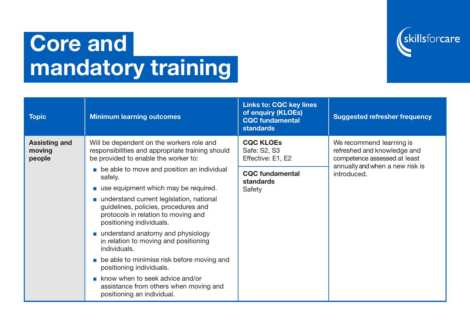

## Core and mandatory training

| <b>Topic</b>                             | <b>Minimum learning outcomes</b>                                                                                                                    | <b>Links to: CQC key lines</b><br>of enquiry (KLOEs)<br><b>CQC fundamental</b><br>standards | <b>Suggested refresher frequency</b>                                                    |
|------------------------------------------|-----------------------------------------------------------------------------------------------------------------------------------------------------|---------------------------------------------------------------------------------------------|-----------------------------------------------------------------------------------------|
| <b>Assisting and</b><br>moving<br>people | Will be dependent on the workers role and<br>responsibilities and appropriate training should<br>be provided to enable the worker to:               | <b>CQC KLOES</b><br>Safe: S2, S3<br>Effective: E1, E2                                       | We recommend learning is<br>refreshed and knowledge and<br>competence assessed at least |
|                                          | • be able to move and position an individual<br>safely.                                                                                             | <b>CQC fundamental</b><br><b>standards</b>                                                  | annually and when a new risk is<br>introduced.                                          |
|                                          | use equipment which may be required.                                                                                                                | Safety                                                                                      |                                                                                         |
|                                          | understand current legislation, national<br>guidelines, policies, procedures and<br>protocols in relation to moving and<br>positioning individuals. |                                                                                             |                                                                                         |
|                                          | understand anatomy and physiology<br>in relation to moving and positioning<br>individuals.                                                          |                                                                                             |                                                                                         |
|                                          | • be able to minimise risk before moving and<br>positioning individuals.                                                                            |                                                                                             |                                                                                         |
|                                          | know when to seek advice and/or<br>assistance from others when moving and<br>positioning an individual.                                             |                                                                                             |                                                                                         |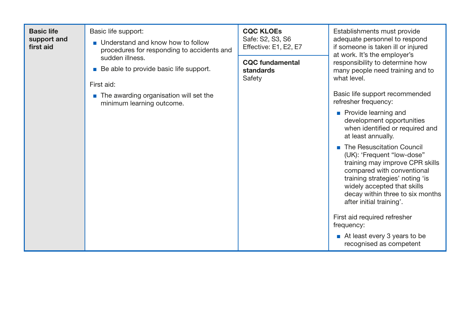| <b>Basic life</b><br>support and<br>first aid | Basic life support:<br>Understand and know how to follow<br>procedures for responding to accidents and<br>sudden illness.<br><b>Be able to provide basic life support.</b> | <b>CQC KLOES</b><br>Safe: S2, S3, S6<br>Effective: E1, E2, E7<br><b>CQC</b> fundamental<br>standards<br>Safety | Establishments must provide<br>adequate personnel to respond<br>if someone is taken ill or injured<br>at work. It's the employer's<br>responsibility to determine how<br>many people need training and to<br>what level.                                                                                                                                                                                                                  |
|-----------------------------------------------|----------------------------------------------------------------------------------------------------------------------------------------------------------------------------|----------------------------------------------------------------------------------------------------------------|-------------------------------------------------------------------------------------------------------------------------------------------------------------------------------------------------------------------------------------------------------------------------------------------------------------------------------------------------------------------------------------------------------------------------------------------|
|                                               | First aid:<br>• The awarding organisation will set the<br>minimum learning outcome.                                                                                        |                                                                                                                | Basic life support recommended<br>refresher frequency:<br><b>Provide learning and</b><br>development opportunities<br>when identified or required and<br>at least annually.<br>The Resuscitation Council<br>(UK): 'Frequent "low-dose"<br>training may improve CPR skills<br>compared with conventional<br>training strategies' noting 'is<br>widely accepted that skills<br>decay within three to six months<br>after initial training'. |
|                                               |                                                                                                                                                                            |                                                                                                                | First aid required refresher<br>frequency:<br>At least every 3 years to be<br>recognised as competent                                                                                                                                                                                                                                                                                                                                     |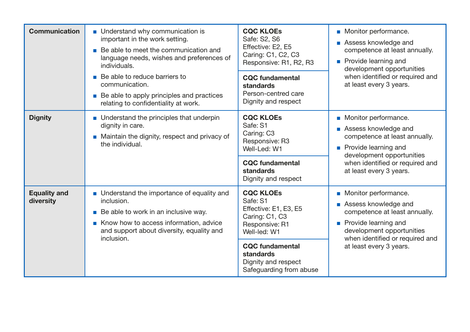| <b>Communication</b>             | • Understand why communication is<br>important in the work setting.<br>Be able to meet the communication and<br>$\mathcal{L}_{\mathcal{A}}$<br>language needs, wishes and preferences of<br>individuals.<br>■ Be able to reduce barriers to<br>communication. | <b>CQC KLOES</b><br>Safe: S2, S6<br>Effective: E2, E5<br>Caring: C1, C2, C3<br>Responsive: R1, R2, R3<br><b>CQC</b> fundamental<br>standards<br>Person-centred care                                | • Monitor performance.<br>Assess knowledge and<br>competence at least annually.<br><b>Provide learning and</b><br>development opportunities<br>when identified or required and<br>at least every 3 years. |
|----------------------------------|---------------------------------------------------------------------------------------------------------------------------------------------------------------------------------------------------------------------------------------------------------------|----------------------------------------------------------------------------------------------------------------------------------------------------------------------------------------------------|-----------------------------------------------------------------------------------------------------------------------------------------------------------------------------------------------------------|
|                                  | <b>Be able to apply principles and practices</b><br>relating to confidentiality at work.                                                                                                                                                                      | Dignity and respect                                                                                                                                                                                |                                                                                                                                                                                                           |
| <b>Dignity</b>                   | • Understand the principles that underpin<br>dignity in care.<br>• Maintain the dignity, respect and privacy of<br>the individual.                                                                                                                            | <b>CQC KLOES</b><br>Safe: S1<br>Caring: C3<br>Responsive: R3<br>Well-Led: W1<br><b>CQC</b> fundamental<br>standards<br>Dignity and respect                                                         | • Monitor performance.<br>Assess knowledge and<br>competence at least annually.<br><b>Provide learning and</b><br>development opportunities<br>when identified or required and<br>at least every 3 years. |
| <b>Equality and</b><br>diversity | • Understand the importance of equality and<br>inclusion.<br>Be able to work in an inclusive way.<br>Know how to access information, advice<br>and support about diversity, equality and<br>inclusion.                                                        | <b>CQC KLOEs</b><br>Safe: S1<br>Effective: E1, E3, E5<br>Caring: C1, C3<br>Responsive: R1<br>Well-led: W1<br><b>CQC</b> fundamental<br>standards<br>Dignity and respect<br>Safeguarding from abuse | Monitor performance.<br>Assess knowledge and<br>competence at least annually.<br><b>Provide learning and</b><br>development opportunities<br>when identified or required and<br>at least every 3 years.   |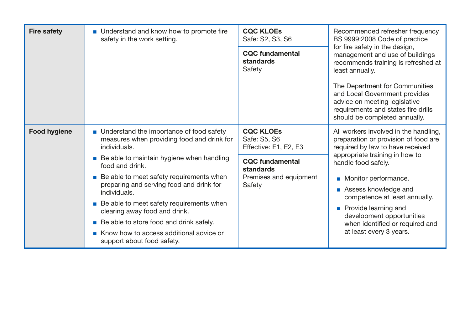| <b>Fire safety</b>  | • Understand and know how to promote fire<br>safety in the work setting.                                    | <b>CQC KLOES</b><br>Safe: S2, S3, S6                      | Recommended refresher frequency<br>BS 9999:2008 Code of practice                                                                                                         |
|---------------------|-------------------------------------------------------------------------------------------------------------|-----------------------------------------------------------|--------------------------------------------------------------------------------------------------------------------------------------------------------------------------|
|                     |                                                                                                             | <b>CQC</b> fundamental<br>standards<br>Safety             | for fire safety in the design,<br>management and use of buildings<br>recommends training is refreshed at<br>least annually.                                              |
|                     |                                                                                                             |                                                           | The Department for Communities<br>and Local Government provides<br>advice on meeting legislative<br>requirements and states fire drills<br>should be completed annually. |
| <b>Food hygiene</b> | • Understand the importance of food safety<br>measures when providing food and drink for<br>individuals.    | <b>CQC KLOES</b><br>Safe: S5, S6<br>Effective: E1, E2, E3 | All workers involved in the handling,<br>preparation or provision of food are<br>required by law to have received                                                        |
|                     | ■ Be able to maintain hygiene when handling<br>food and drink.                                              | <b>CQC</b> fundamental<br>standards                       | appropriate training in how to<br>handle food safely.                                                                                                                    |
|                     | <b>Be able to meet safety requirements when</b><br>preparing and serving food and drink for<br>individuals. | Premises and equipment<br>Safety                          | • Monitor performance.<br>Assess knowledge and                                                                                                                           |
|                     | ■ Be able to meet safety requirements when<br>clearing away food and drink.                                 |                                                           | competence at least annually.<br><b>Provide learning and</b><br>development opportunities                                                                                |
|                     | ■ Be able to store food and drink safely.                                                                   |                                                           | when identified or required and                                                                                                                                          |
|                     | Know how to access additional advice or<br>support about food safety.                                       |                                                           | at least every 3 years.                                                                                                                                                  |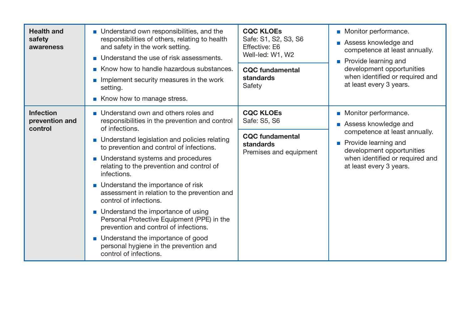| <b>Health and</b><br>safety<br>awareness      | • Understand own responsibilities, and the<br>responsibilities of others, relating to health<br>and safety in the work setting.<br>■ Understand the use of risk assessments.<br>Know how to handle hazardous substances.<br>Implement security measures in the work<br>setting.<br>Know how to manage stress.                                                                                                                                                                                                                                                                                                                                                       | <b>CQC KLOES</b><br>Safe: S1, S2, S3, S6<br>Effective: E6<br>Well-led: W1, W2<br><b>CQC</b> fundamental<br>standards<br>Safety | • Monitor performance.<br>Assess knowledge and<br>competence at least annually.<br><b>Provide learning and</b><br>development opportunities<br>when identified or required and<br>at least every 3 years. |
|-----------------------------------------------|---------------------------------------------------------------------------------------------------------------------------------------------------------------------------------------------------------------------------------------------------------------------------------------------------------------------------------------------------------------------------------------------------------------------------------------------------------------------------------------------------------------------------------------------------------------------------------------------------------------------------------------------------------------------|--------------------------------------------------------------------------------------------------------------------------------|-----------------------------------------------------------------------------------------------------------------------------------------------------------------------------------------------------------|
| <b>Infection</b><br>prevention and<br>control | Understand own and others roles and<br>responsibilities in the prevention and control<br>of infections.<br>• Understand legislation and policies relating<br>to prevention and control of infections.<br>• Understand systems and procedures<br>relating to the prevention and control of<br>infections.<br>• Understand the importance of risk<br>assessment in relation to the prevention and<br>control of infections.<br>• Understand the importance of using<br>Personal Protective Equipment (PPE) in the<br>prevention and control of infections.<br>• Understand the importance of good<br>personal hygiene in the prevention and<br>control of infections. | <b>CQC KLOES</b><br>Safe: S5, S6<br><b>CQC</b> fundamental<br>standards<br>Premises and equipment                              | • Monitor performance.<br>Assess knowledge and<br>competence at least annually.<br><b>Provide learning and</b><br>development opportunities<br>when identified or required and<br>at least every 3 years. |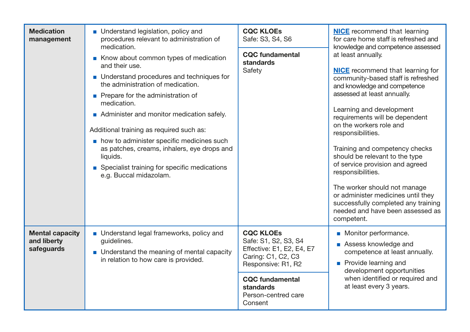| <b>Medication</b><br>management                     | • Understand legislation, policy and<br>procedures relevant to administration of<br>medication.<br>Know about common types of medication<br>and their use.<br>• Understand procedures and techniques for<br>the administration of medication.<br>• Prepare for the administration of<br>medication.<br>Administer and monitor medication safely.<br>Additional training as required such as:<br>• how to administer specific medicines such<br>as patches, creams, inhalers, eye drops and<br>liquids.<br>■ Specialist training for specific medications<br>e.g. Buccal midazolam. | <b>CQC KLOES</b><br>Safe: S3, S4, S6<br><b>CQC</b> fundamental<br>standards<br>Safety                                                                                                      | <b>NICE</b> recommend that learning<br>for care home staff is refreshed and<br>knowledge and competence assessed<br>at least annually.<br><b>NICE</b> recommend that learning for<br>community-based staff is refreshed<br>and knowledge and competence<br>assessed at least annually.<br>Learning and development<br>requirements will be dependent<br>on the workers role and<br>responsibilities.<br>Training and competency checks<br>should be relevant to the type<br>of service provision and agreed<br>responsibilities.<br>The worker should not manage<br>or administer medicines until they<br>successfully completed any training<br>needed and have been assessed as<br>competent. |
|-----------------------------------------------------|------------------------------------------------------------------------------------------------------------------------------------------------------------------------------------------------------------------------------------------------------------------------------------------------------------------------------------------------------------------------------------------------------------------------------------------------------------------------------------------------------------------------------------------------------------------------------------|--------------------------------------------------------------------------------------------------------------------------------------------------------------------------------------------|-------------------------------------------------------------------------------------------------------------------------------------------------------------------------------------------------------------------------------------------------------------------------------------------------------------------------------------------------------------------------------------------------------------------------------------------------------------------------------------------------------------------------------------------------------------------------------------------------------------------------------------------------------------------------------------------------|
| <b>Mental capacity</b><br>and liberty<br>safeguards | • Understand legal frameworks, policy and<br>guidelines.<br>• Understand the meaning of mental capacity<br>in relation to how care is provided.                                                                                                                                                                                                                                                                                                                                                                                                                                    | <b>CQC KLOEs</b><br>Safe: S1, S2, S3, S4<br>Effective: E1, E2, E4, E7<br>Caring: C1, C2, C3<br>Responsive: R1, R2<br><b>CQC fundamental</b><br>standards<br>Person-centred care<br>Consent | Monitor performance.<br>Assess knowledge and<br>competence at least annually.<br><b>Provide learning and</b><br>development opportunities<br>when identified or required and<br>at least every 3 years.                                                                                                                                                                                                                                                                                                                                                                                                                                                                                         |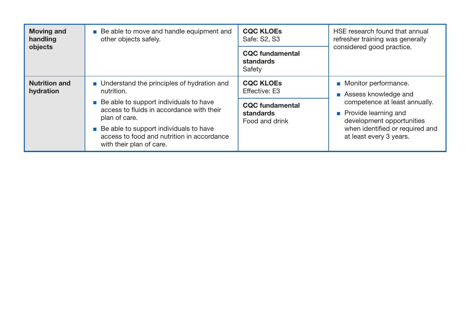| <b>Moving and</b><br>handling<br>objects | Be able to move and handle equipment and<br>other objects safely.                                                               | <b>CQC KLOES</b><br>Safe: S2, S3                      | HSE research found that annual<br>refresher training was generally<br>considered good practice. |
|------------------------------------------|---------------------------------------------------------------------------------------------------------------------------------|-------------------------------------------------------|-------------------------------------------------------------------------------------------------|
|                                          |                                                                                                                                 | <b>CQC</b> fundamental<br>standards<br>Safety         |                                                                                                 |
| <b>Nutrition and</b><br>hydration        | ■ Understand the principles of hydration and<br>nutrition.                                                                      | <b>CQC KLOES</b><br><b>Effective: E3</b>              | • Monitor performance.<br>Assess knowledge and                                                  |
|                                          | $\blacksquare$ Be able to support individuals to have<br>access to fluids in accordance with their<br>plan of care.             | <b>CQC</b> fundamental<br>standards<br>Food and drink | competence at least annually.<br><b>Provide learning and</b><br>development opportunities       |
|                                          | $\blacksquare$ Be able to support individuals to have<br>access to food and nutrition in accordance<br>with their plan of care. |                                                       | when identified or required and<br>at least every 3 years.                                      |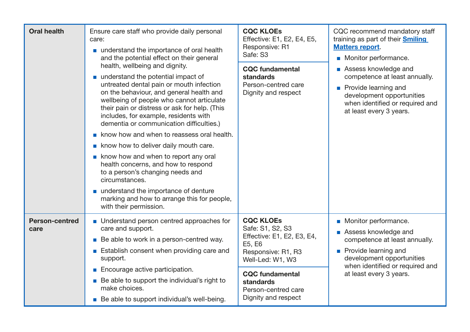| <b>Oral health</b>            | Ensure care staff who provide daily personal<br>care:<br>■ understand the importance of oral health<br>and the potential effect on their general                                                                                                                                                                                                | <b>CQC KLOES</b><br>Effective: E1, E2, E4, E5,<br>Responsive: R1<br>Safe: S3      | CQC recommend mandatory staff<br>training as part of their <b>Smiling</b><br><b>Matters report.</b><br>• Monitor performance.<br>Assess knowledge and<br>competence at least annually.<br><b>Provide learning and</b><br>development opportunities<br>when identified or required and<br>at least every 3 years. |
|-------------------------------|-------------------------------------------------------------------------------------------------------------------------------------------------------------------------------------------------------------------------------------------------------------------------------------------------------------------------------------------------|-----------------------------------------------------------------------------------|------------------------------------------------------------------------------------------------------------------------------------------------------------------------------------------------------------------------------------------------------------------------------------------------------------------|
|                               | health, wellbeing and dignity.<br>understand the potential impact of<br>untreated dental pain or mouth infection<br>on the behaviour, and general health and<br>wellbeing of people who cannot articulate<br>their pain or distress or ask for help. (This<br>includes, for example, residents with<br>dementia or communication difficulties.) | <b>CQC fundamental</b><br>standards<br>Person-centred care<br>Dignity and respect |                                                                                                                                                                                                                                                                                                                  |
|                               | know how and when to reassess oral health.                                                                                                                                                                                                                                                                                                      |                                                                                   |                                                                                                                                                                                                                                                                                                                  |
|                               | know how to deliver daily mouth care.                                                                                                                                                                                                                                                                                                           |                                                                                   |                                                                                                                                                                                                                                                                                                                  |
|                               | know how and when to report any oral<br>health concerns, and how to respond<br>to a person's changing needs and<br>circumstances.                                                                                                                                                                                                               |                                                                                   |                                                                                                                                                                                                                                                                                                                  |
|                               | ■ understand the importance of denture<br>marking and how to arrange this for people,<br>with their permission.                                                                                                                                                                                                                                 |                                                                                   |                                                                                                                                                                                                                                                                                                                  |
| <b>Person-centred</b><br>care | • Understand person centred approaches for<br>care and support.                                                                                                                                                                                                                                                                                 | <b>CQC KLOEs</b><br>Safe: S1, S2, S3                                              | • Monitor performance.                                                                                                                                                                                                                                                                                           |
|                               | ■ Be able to work in a person-centred way.                                                                                                                                                                                                                                                                                                      | Effective: E1, E2, E3, E4,                                                        | Assess knowledge and<br>competence at least annually.                                                                                                                                                                                                                                                            |
|                               | ■ Establish consent when providing care and<br>support.                                                                                                                                                                                                                                                                                         | E5, E6<br>Responsive: R1, R3<br>Well-Led: W1, W3                                  | <b>Provide learning and</b><br>development opportunities                                                                                                                                                                                                                                                         |
|                               | <b>Encourage active participation.</b>                                                                                                                                                                                                                                                                                                          | <b>CQC fundamental</b>                                                            | when identified or required and<br>at least every 3 years.                                                                                                                                                                                                                                                       |
|                               | ■ Be able to support the individual's right to<br>make choices.                                                                                                                                                                                                                                                                                 | standards<br>Person-centred care                                                  |                                                                                                                                                                                                                                                                                                                  |
|                               | Be able to support individual's well-being.                                                                                                                                                                                                                                                                                                     | Dignity and respect                                                               |                                                                                                                                                                                                                                                                                                                  |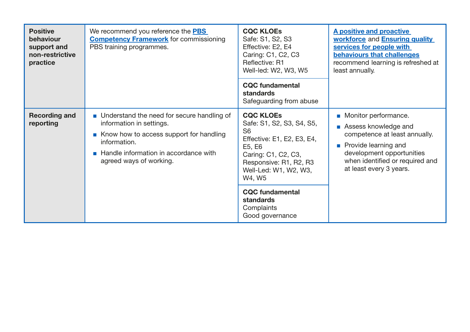| <b>Positive</b><br>behaviour<br>support and<br>non-restrictive<br>practice | We recommend you reference the <b>PBS</b><br><b>Competency Framework</b> for commissioning<br>PBS training programmes.                                                                                            | <b>CQC KLOES</b><br>Safe: S1, S2, S3<br>Effective: E2, E4<br>Caring: C1, C2, C3<br>Reflective: R1<br>Well-led: W2, W3, W5<br><b>CQC</b> fundamental<br>standards<br>Safeguarding from abuse                                                                         | <b>A positive and proactive</b><br>workforce and Ensuring quality<br>services for people with<br>behaviours that challenges<br>recommend learning is refreshed at<br>least annually.                             |
|----------------------------------------------------------------------------|-------------------------------------------------------------------------------------------------------------------------------------------------------------------------------------------------------------------|---------------------------------------------------------------------------------------------------------------------------------------------------------------------------------------------------------------------------------------------------------------------|------------------------------------------------------------------------------------------------------------------------------------------------------------------------------------------------------------------|
| <b>Recording and</b><br>reporting                                          | • Understand the need for secure handling of<br>information in settings.<br>Know how to access support for handling<br>information.<br>Handle information in accordance with<br>$\sim$<br>agreed ways of working. | <b>CQC KLOES</b><br>Safe: S1, S2, S3, S4, S5,<br>S <sub>6</sub><br>Effective: E1, E2, E3, E4,<br>E5, E6<br>Caring: C1, C2, C3,<br>Responsive: R1, R2, R3<br>Well-Led: W1, W2, W3,<br>W4, W5<br><b>CQC</b> fundamental<br>standards<br>Complaints<br>Good governance | • Monitor performance.<br>Assess knowledge and<br><b>I</b><br>competence at least annually.<br>• Provide learning and<br>development opportunities<br>when identified or required and<br>at least every 3 years. |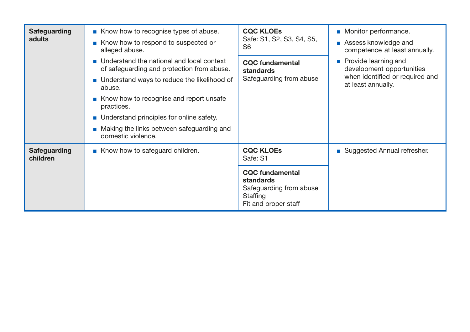| <b>Safeguarding</b><br>adults   | Know how to recognise types of abuse.<br>Know how to respond to suspected or<br>alleged abuse.<br>■ Understand the national and local context<br>of safeguarding and protection from abuse.<br>■ Understand ways to reduce the likelihood of<br>abuse.<br>Know how to recognise and report unsafe<br>practices.<br>■ Understand principles for online safety.<br>• Making the links between safeguarding and<br>domestic violence. | <b>CQC KLOES</b><br>Safe: S1, S2, S3, S4, S5,<br>S <sub>6</sub><br><b>CQC</b> fundamental<br>standards<br>Safeguarding from abuse         | • Monitor performance.<br>Assess knowledge and<br>competence at least annually.<br><b>Provide learning and</b><br>development opportunities<br>when identified or required and<br>at least annually. |
|---------------------------------|------------------------------------------------------------------------------------------------------------------------------------------------------------------------------------------------------------------------------------------------------------------------------------------------------------------------------------------------------------------------------------------------------------------------------------|-------------------------------------------------------------------------------------------------------------------------------------------|------------------------------------------------------------------------------------------------------------------------------------------------------------------------------------------------------|
| <b>Safeguarding</b><br>children | Know how to safeguard children.                                                                                                                                                                                                                                                                                                                                                                                                    | <b>CQC KLOES</b><br>Safe: S1<br><b>CQC</b> fundamental<br><b>standards</b><br>Safeguarding from abuse<br>Staffing<br>Fit and proper staff | ■ Suggested Annual refresher.                                                                                                                                                                        |